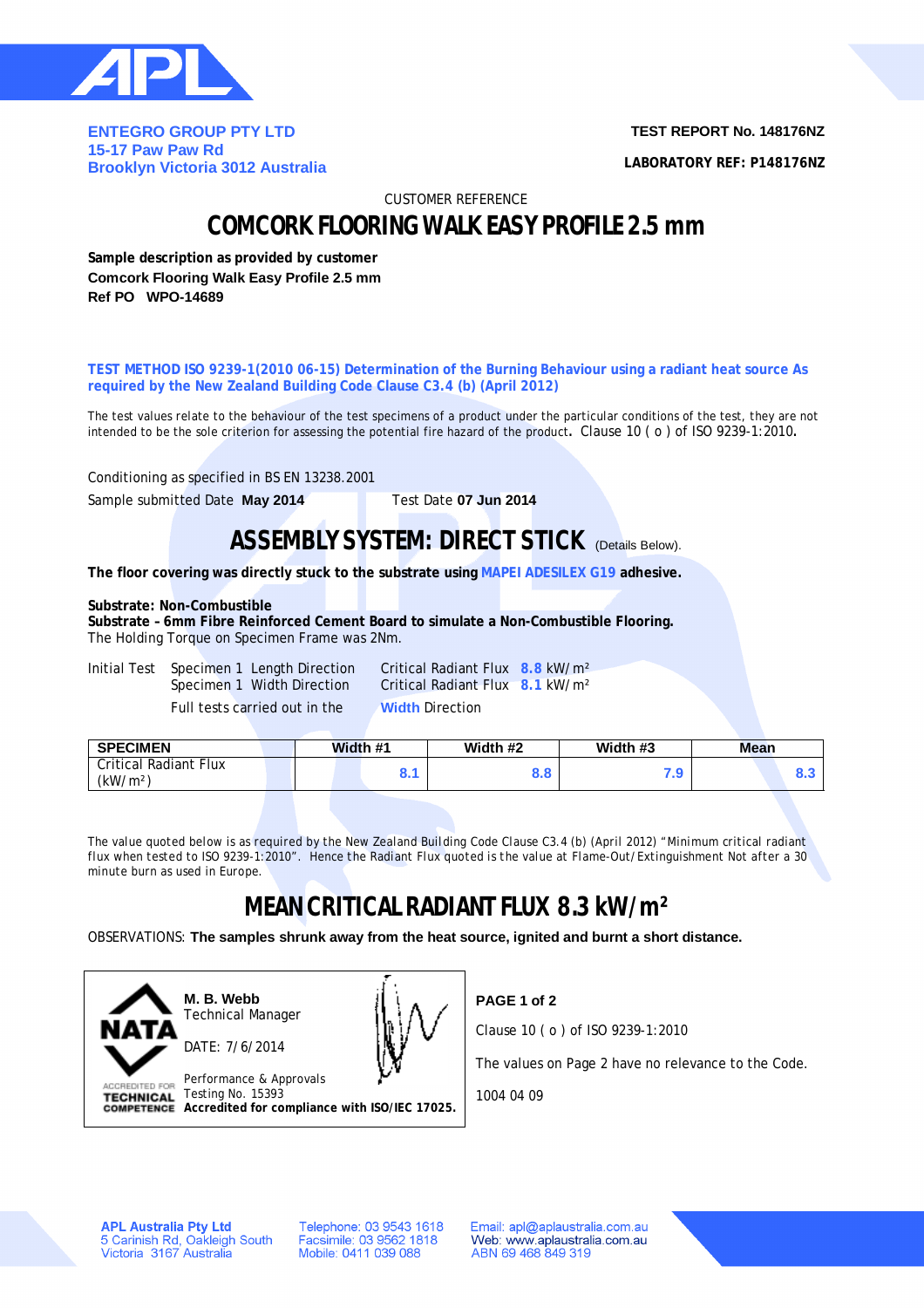

**ENTEGRO GROUP PTY LTD 15-17 Paw Paw Rd Brooklyn Victoria 3012 Australia** **TEST REPORT No. 148176NZ**

**LABORATORY REF: P148176NZ**

CUSTOMER REFERENCE

## **COMCORK FLOORING WALK EASY PROFILE 2.5 mm**

**Sample description as provided by customer Comcork Flooring Walk Easy Profile 2.5 mm Ref PO WPO-14689**

**TEST METHOD ISO 9239-1(2010 06-15) Determination of the Burning Behaviour using a radiant heat source As required by the New Zealand Building Code Clause C3.4 (b) (April 2012)**

The test values relate to the behaviour of the test specimens of a product under the particular conditions of the test, they are not intended to be the sole criterion for assessing the potential fire hazard of the product**.** Clause 10 ( o ) of ISO 9239-1:2010**.**

Conditioning as specified in BS EN 13238.2001

Sample submitted Date **May 2014** Test Date **07 Jun 2014**

### **ASSEMBLY SYSTEM: DIRECT STICK (Details Below).**

**The floor covering was directly stuck to the substrate using MAPEI ADESILEX G19 adhesive.**

### **Substrate: Non-Combustible**

**Substrate – 6mm Fibre Reinforced Cement Board to simulate a Non-Combustible Flooring.** The Holding Torque on Specimen Frame was 2Nm.

Initial Test Specimen 1 Length Direction Critical Radiant Flux **8.8** kW/m² Full tests carried out in the **Width** Direction

Specimen 1 Width Direction Critical Radiant Flux **8.1** kW/m²

| <b>Critical Radiant Flux</b><br>י ם<br>а о<br>o.c<br>æ | <b>SPECIMEN</b>      | Width #1 | Width #2 | Width #3 | Mean |     |
|--------------------------------------------------------|----------------------|----------|----------|----------|------|-----|
|                                                        | (kW/m <sup>2</sup> ) |          |          |          |      | D.J |

*The value quoted below is as required by the New Zealand Building Code Clause C3.4 (b) (April 2012) "Minimum critical radiant flux when tested to ISO 9239-1:2010". Hence the Radiant Flux quoted is the value at Flame-Out/Extinguishment Not after a 30 minute burn as used in Europe.*

# **MEAN CRITICAL RADIANT FLUX 8.3 kW/m²**

OBSERVATIONS: **The samples shrunk away from the heat source, ignited and burnt a short distance.**



**M. B. Webb** Technical Manager DATE: 7/6/2014



Performance & Approvals TECHNICAL Testing No. 15393 **Accredited for compliance with ISO/IEC 17025.** **PAGE 1 of 2**

Clause 10 ( o ) of ISO 9239-1:2010

The values on Page 2 have no relevance to the Code.

1004 04 09

**APL Australia Pty Ltd** 5 Carinish Rd, Oakleigh South<br>Victoria 3167 Australia Telephone: 03 9543 1618 Facsimile: 03 9562 1818 Mobile: 0411 039 088

Email: apl@aplaustralia.com.au Web: www.aplaustralia.com.au ABN 69 468 849 319